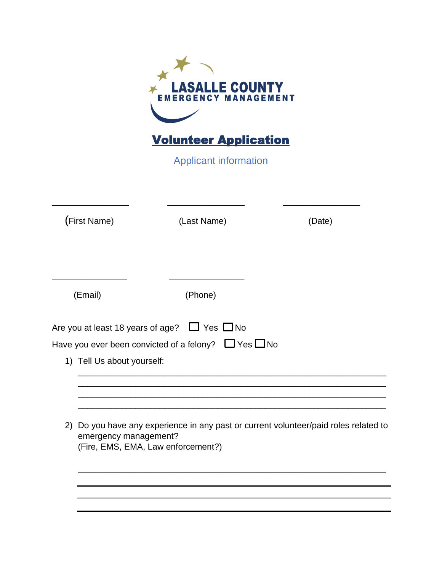|                                                                         | <b>LE COUNTY</b><br>EMER<br><b>ICY MANAGEMENT</b><br><u>Volunteer Application</u><br><b>Applicant information</b>          |        |
|-------------------------------------------------------------------------|----------------------------------------------------------------------------------------------------------------------------|--------|
| (First Name)                                                            | (Last Name)                                                                                                                | (Date) |
| (Email)                                                                 | (Phone)                                                                                                                    |        |
| Have you ever been convicted of a felony?<br>1) Tell Us about yourself: | Are you at least 18 years of age? $\Box$ Yes $\Box$ No<br>$\Box$ Yes $\Box$ No                                             |        |
| emergency management?                                                   | 2) Do you have any experience in any past or current volunteer/paid roles related to<br>(Fire, EMS, EMA, Law enforcement?) |        |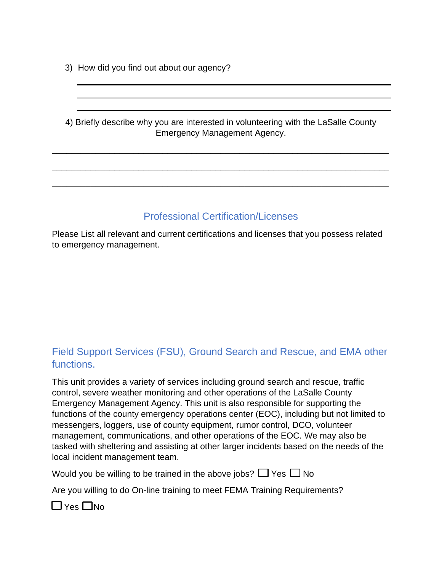3) How did you find out about our agency?

4) Briefly describe why you are interested in volunteering with the LaSalle County Emergency Management Agency.

\_\_\_\_\_\_\_\_\_\_\_\_\_\_\_\_\_\_\_\_\_\_\_\_\_\_\_\_\_\_\_\_\_\_\_\_\_\_\_\_\_\_\_\_\_\_\_\_\_\_\_\_\_\_\_\_\_\_\_\_\_\_\_\_\_\_\_\_\_\_

\_\_\_\_\_\_\_\_\_\_\_\_\_\_\_\_\_\_\_\_\_\_\_\_\_\_\_\_\_\_\_\_\_\_\_\_\_\_\_\_\_\_\_\_\_\_\_\_\_\_\_\_\_\_\_\_\_\_\_\_\_\_\_\_\_\_\_\_\_\_

\_\_\_\_\_\_\_\_\_\_\_\_\_\_\_\_\_\_\_\_\_\_\_\_\_\_\_\_\_\_\_\_\_\_\_\_\_\_\_\_\_\_\_\_\_\_\_\_\_\_\_\_\_\_\_\_\_\_\_\_\_\_\_\_\_\_\_\_\_\_

## Professional Certification/Licenses

Please List all relevant and current certifications and licenses that you possess related to emergency management.

## Field Support Services (FSU), Ground Search and Rescue, and EMA other functions.

This unit provides a variety of services including ground search and rescue, traffic control, severe weather monitoring and other operations of the LaSalle County Emergency Management Agency. This unit is also responsible for supporting the functions of the county emergency operations center (EOC), including but not limited to messengers, loggers, use of county equipment, rumor control, DCO, volunteer management, communications, and other operations of the EOC. We may also be tasked with sheltering and assisting at other larger incidents based on the needs of the local incident management team.

Would you be willing to be trained in the above jobs?  $\Box$  Yes  $\Box$  No

Are you willing to do On-line training to meet FEMA Training Requirements?

 $\Box$  Yes  $\Box$  No